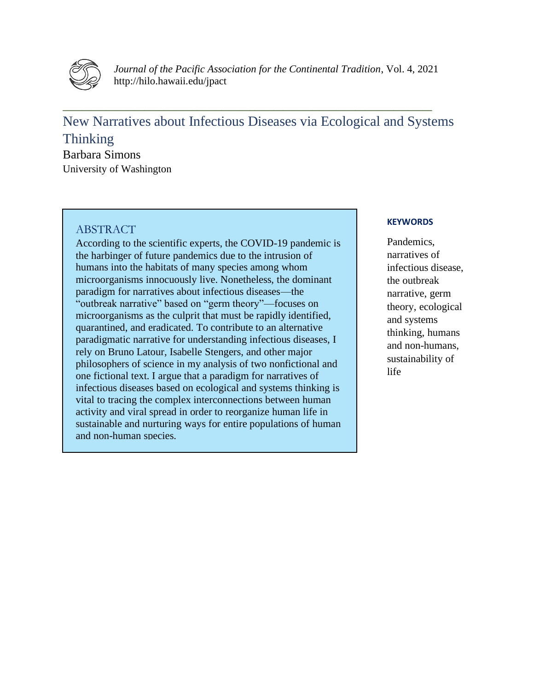

*Journal of the Pacific Association for the Continental Tradition*, Vol. 4, 2021 http://hilo.hawaii.edu/jpact

# New Narratives about Infectious Diseases via Ecological and Systems Thinking

**\_\_\_\_\_\_\_\_\_\_\_\_\_\_\_\_\_\_\_\_\_\_\_\_\_\_\_\_\_\_\_\_\_\_\_\_\_\_\_\_\_\_\_\_\_\_\_\_\_\_\_\_\_\_\_\_\_\_\_\_\_\_\_\_\_\_\_\_\_\_\_\_\_\_\_\_\_**

Barbara Simons University of Washington

#### **ABSTRACT**

According to the scientific experts, the COVID-19 pandemic is the harbinger of future pandemics due to the intrusion of humans into the habitats of many species among whom microorganisms innocuously live. Nonetheless, the dominant paradigm for narratives about infectious diseases—the "outbreak narrative" based on "germ theory"—focuses on microorganisms as the culprit that must be rapidly identified, quarantined, and eradicated. To contribute to an alternative paradigmatic narrative for understanding infectious diseases, I rely on Bruno Latour, Isabelle Stengers, and other major philosophers of science in my analysis of two nonfictional and one fictional text. I argue that a paradigm for narratives of infectious diseases based on ecological and systems thinking is vital to tracing the complex interconnections between human activity and viral spread in order to reorganize human life in sustainable and nurturing ways for entire populations of human and non-human species.

#### **KEYWORDS**

Pandemics, narratives of infectious disease, the outbreak narrative, germ theory, ecological and systems thinking, humans and non-humans, sustainability of life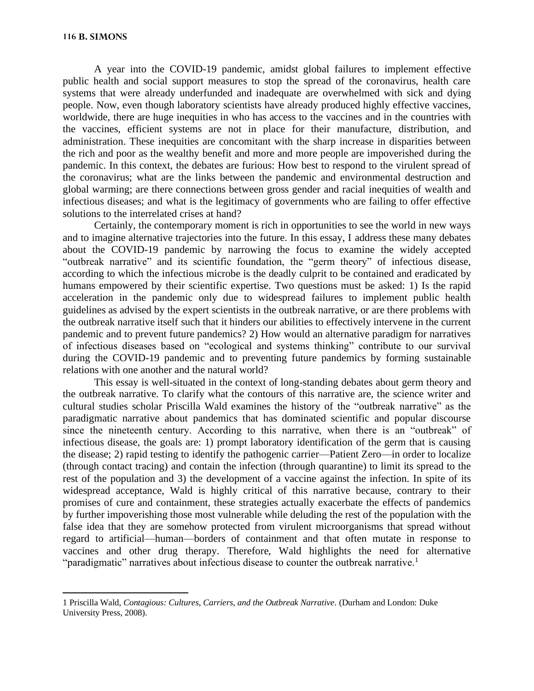A year into the COVID-19 pandemic, amidst global failures to implement effective public health and social support measures to stop the spread of the coronavirus, health care systems that were already underfunded and inadequate are overwhelmed with sick and dying people. Now, even though laboratory scientists have already produced highly effective vaccines, worldwide, there are huge inequities in who has access to the vaccines and in the countries with the vaccines, efficient systems are not in place for their manufacture, distribution, and administration. These inequities are concomitant with the sharp increase in disparities between the rich and poor as the wealthy benefit and more and more people are impoverished during the pandemic. In this context, the debates are furious: How best to respond to the virulent spread of the coronavirus; what are the links between the pandemic and environmental destruction and global warming; are there connections between gross gender and racial inequities of wealth and infectious diseases; and what is the legitimacy of governments who are failing to offer effective solutions to the interrelated crises at hand?

Certainly, the contemporary moment is rich in opportunities to see the world in new ways and to imagine alternative trajectories into the future. In this essay, I address these many debates about the COVID-19 pandemic by narrowing the focus to examine the widely accepted "outbreak narrative" and its scientific foundation, the "germ theory" of infectious disease, according to which the infectious microbe is the deadly culprit to be contained and eradicated by humans empowered by their scientific expertise. Two questions must be asked: 1) Is the rapid acceleration in the pandemic only due to widespread failures to implement public health guidelines as advised by the expert scientists in the outbreak narrative, or are there problems with the outbreak narrative itself such that it hinders our abilities to effectively intervene in the current pandemic and to prevent future pandemics? 2) How would an alternative paradigm for narratives of infectious diseases based on "ecological and systems thinking" contribute to our survival during the COVID-19 pandemic and to preventing future pandemics by forming sustainable relations with one another and the natural world?

This essay is well-situated in the context of long-standing debates about germ theory and the outbreak narrative. To clarify what the contours of this narrative are, the science writer and cultural studies scholar Priscilla Wald examines the history of the "outbreak narrative" as the paradigmatic narrative about pandemics that has dominated scientific and popular discourse since the nineteenth century. According to this narrative, when there is an "outbreak" of infectious disease, the goals are: 1) prompt laboratory identification of the germ that is causing the disease; 2) rapid testing to identify the pathogenic carrier—Patient Zero—in order to localize (through contact tracing) and contain the infection (through quarantine) to limit its spread to the rest of the population and 3) the development of a vaccine against the infection. In spite of its widespread acceptance, Wald is highly critical of this narrative because, contrary to their promises of cure and containment, these strategies actually exacerbate the effects of pandemics by further impoverishing those most vulnerable while deluding the rest of the population with the false idea that they are somehow protected from virulent microorganisms that spread without regard to artificial—human—borders of containment and that often mutate in response to vaccines and other drug therapy. Therefore, Wald highlights the need for alternative "paradigmatic" narratives about infectious disease to counter the outbreak narrative.<sup>1</sup>

<sup>1</sup> Priscilla Wald, *Contagious: Cultures, Carriers, and the Outbreak Narrative*. (Durham and London: Duke University Press, 2008).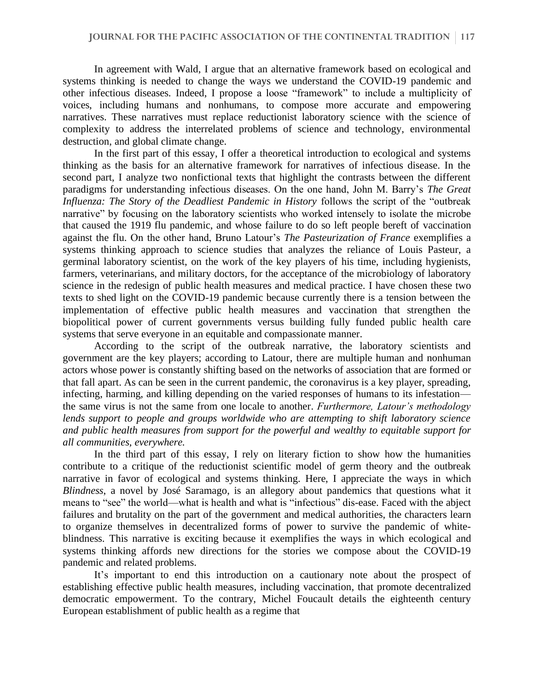In agreement with Wald, I argue that an alternative framework based on ecological and systems thinking is needed to change the ways we understand the COVID-19 pandemic and other infectious diseases. Indeed, I propose a loose "framework" to include a multiplicity of voices, including humans and nonhumans, to compose more accurate and empowering narratives. These narratives must replace reductionist laboratory science with the science of complexity to address the interrelated problems of science and technology, environmental destruction, and global climate change.

In the first part of this essay, I offer a theoretical introduction to ecological and systems thinking as the basis for an alternative framework for narratives of infectious disease. In the second part, I analyze two nonfictional texts that highlight the contrasts between the different paradigms for understanding infectious diseases. On the one hand, John M. Barry's *The Great Influenza: The Story of the Deadliest Pandemic in History* follows the script of the "outbreak narrative" by focusing on the laboratory scientists who worked intensely to isolate the microbe that caused the 1919 flu pandemic, and whose failure to do so left people bereft of vaccination against the flu. On the other hand, Bruno Latour's *The Pasteurization of France* exemplifies a systems thinking approach to science studies that analyzes the reliance of Louis Pasteur, a germinal laboratory scientist, on the work of the key players of his time, including hygienists, farmers, veterinarians, and military doctors, for the acceptance of the microbiology of laboratory science in the redesign of public health measures and medical practice. I have chosen these two texts to shed light on the COVID-19 pandemic because currently there is a tension between the implementation of effective public health measures and vaccination that strengthen the biopolitical power of current governments versus building fully funded public health care systems that serve everyone in an equitable and compassionate manner.

According to the script of the outbreak narrative, the laboratory scientists and government are the key players; according to Latour, there are multiple human and nonhuman actors whose power is constantly shifting based on the networks of association that are formed or that fall apart. As can be seen in the current pandemic, the coronavirus is a key player, spreading, infecting, harming, and killing depending on the varied responses of humans to its infestation the same virus is not the same from one locale to another. *Furthermore, Latour's methodology lends support to people and groups worldwide who are attempting to shift laboratory science and public health measures from support for the powerful and wealthy to equitable support for all communities, everywhere.*

In the third part of this essay, I rely on literary fiction to show how the humanities contribute to a critique of the reductionist scientific model of germ theory and the outbreak narrative in favor of ecological and systems thinking. Here, I appreciate the ways in which *Blindness*, a novel by José Saramago, is an allegory about pandemics that questions what it means to "see" the world—what is health and what is "infectious" dis-ease. Faced with the abject failures and brutality on the part of the government and medical authorities, the characters learn to organize themselves in decentralized forms of power to survive the pandemic of whiteblindness. This narrative is exciting because it exemplifies the ways in which ecological and systems thinking affords new directions for the stories we compose about the COVID-19 pandemic and related problems.

It's important to end this introduction on a cautionary note about the prospect of establishing effective public health measures, including vaccination, that promote decentralized democratic empowerment. To the contrary, Michel Foucault details the eighteenth century European establishment of public health as a regime that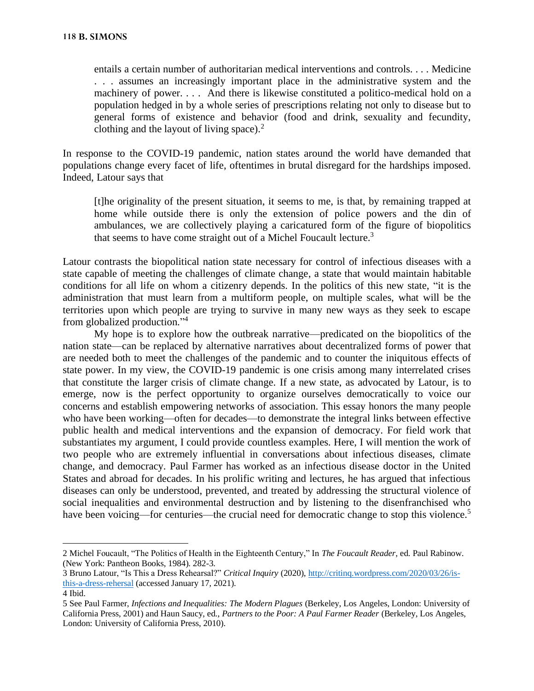entails a certain number of authoritarian medical interventions and controls. . . . Medicine . . . assumes an increasingly important place in the administrative system and the machinery of power. . . . And there is likewise constituted a politico-medical hold on a population hedged in by a whole series of prescriptions relating not only to disease but to general forms of existence and behavior (food and drink, sexuality and fecundity, clothing and the layout of living space). $<sup>2</sup>$ </sup>

In response to the COVID-19 pandemic, nation states around the world have demanded that populations change every facet of life, oftentimes in brutal disregard for the hardships imposed. Indeed, Latour says that

[t]he originality of the present situation, it seems to me, is that, by remaining trapped at home while outside there is only the extension of police powers and the din of ambulances, we are collectively playing a caricatured form of the figure of biopolitics that seems to have come straight out of a Michel Foucault lecture.<sup>3</sup>

Latour contrasts the biopolitical nation state necessary for control of infectious diseases with a state capable of meeting the challenges of climate change, a state that would maintain habitable conditions for all life on whom a citizenry depends. In the politics of this new state, "it is the administration that must learn from a multiform people, on multiple scales, what will be the territories upon which people are trying to survive in many new ways as they seek to escape from globalized production."<sup>4</sup>

My hope is to explore how the outbreak narrative—predicated on the biopolitics of the nation state—can be replaced by alternative narratives about decentralized forms of power that are needed both to meet the challenges of the pandemic and to counter the iniquitous effects of state power. In my view, the COVID-19 pandemic is one crisis among many interrelated crises that constitute the larger crisis of climate change. If a new state, as advocated by Latour, is to emerge, now is the perfect opportunity to organize ourselves democratically to voice our concerns and establish empowering networks of association. This essay honors the many people who have been working—often for decades—to demonstrate the integral links between effective public health and medical interventions and the expansion of democracy. For field work that substantiates my argument, I could provide countless examples. Here, I will mention the work of two people who are extremely influential in conversations about infectious diseases, climate change, and democracy. Paul Farmer has worked as an infectious disease doctor in the United States and abroad for decades. In his prolific writing and lectures, he has argued that infectious diseases can only be understood, prevented, and treated by addressing the structural violence of social inequalities and environmental destruction and by listening to the disenfranchised who have been voicing—for centuries—the crucial need for democratic change to stop this violence.<sup>5</sup>

<sup>2</sup> Michel Foucault, "The Politics of Health in the Eighteenth Century," In *The Foucault Reader*, ed. Paul Rabinow. (New York: Pantheon Books, 1984). 282-3.

<sup>3</sup> Bruno Latour, "Is This a Dress Rehearsal?" *Critical Inquiry* (2020), [http://critinq.wordpress.com/2020/03/26/is](about:blank)[this-a-dress-rehersal](about:blank) (accessed January 17, 2021).

<sup>4</sup> Ibid.

<sup>5</sup> See Paul Farmer, *Infections and Inequalities: The Modern Plagues* (Berkeley, Los Angeles, London: University of California Press, 2001) and Haun Saucy, ed., *Partners to the Poor: A Paul Farmer Reader* (Berkeley, Los Angeles, London: University of California Press, 2010).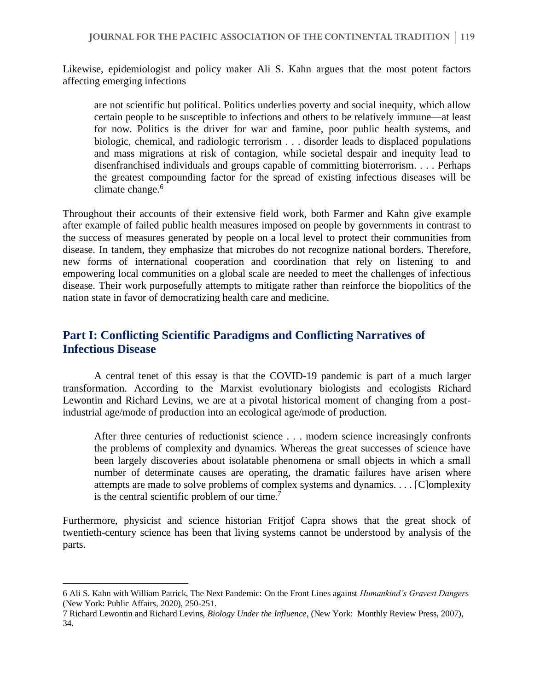Likewise, epidemiologist and policy maker Ali S. Kahn argues that the most potent factors affecting emerging infections

are not scientific but political. Politics underlies poverty and social inequity, which allow certain people to be susceptible to infections and others to be relatively immune—at least for now. Politics is the driver for war and famine, poor public health systems, and biologic, chemical, and radiologic terrorism . . . disorder leads to displaced populations and mass migrations at risk of contagion, while societal despair and inequity lead to disenfranchised individuals and groups capable of committing bioterrorism. . . . Perhaps the greatest compounding factor for the spread of existing infectious diseases will be climate change.<sup>6</sup>

Throughout their accounts of their extensive field work, both Farmer and Kahn give example after example of failed public health measures imposed on people by governments in contrast to the success of measures generated by people on a local level to protect their communities from disease. In tandem, they emphasize that microbes do not recognize national borders. Therefore, new forms of international cooperation and coordination that rely on listening to and empowering local communities on a global scale are needed to meet the challenges of infectious disease. Their work purposefully attempts to mitigate rather than reinforce the biopolitics of the nation state in favor of democratizing health care and medicine.

### **Part I: Conflicting Scientific Paradigms and Conflicting Narratives of Infectious Disease**

A central tenet of this essay is that the COVID-19 pandemic is part of a much larger transformation. According to the Marxist evolutionary biologists and ecologists Richard Lewontin and Richard Levins, we are at a pivotal historical moment of changing from a postindustrial age/mode of production into an ecological age/mode of production.

After three centuries of reductionist science . . . modern science increasingly confronts the problems of complexity and dynamics. Whereas the great successes of science have been largely discoveries about isolatable phenomena or small objects in which a small number of determinate causes are operating, the dramatic failures have arisen where attempts are made to solve problems of complex systems and dynamics. . . . [C]omplexity is the central scientific problem of our time.<sup>7</sup>

Furthermore, physicist and science historian Fritjof Capra shows that the great shock of twentieth-century science has been that living systems cannot be understood by analysis of the parts.

<sup>6</sup> Ali S. Kahn with William Patrick, The Next Pandemic: On the Front Lines against *Humankind's Gravest Danger*s (New York: Public Affairs, 2020), 250-251.

<sup>7</sup> Richard Lewontin and Richard Levins, *Biology Under the Influence*, (New York: Monthly Review Press, 2007), 34.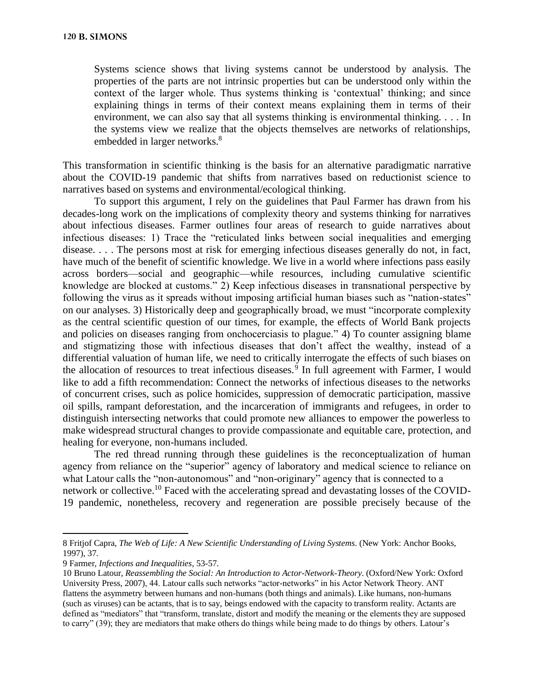Systems science shows that living systems cannot be understood by analysis. The properties of the parts are not intrinsic properties but can be understood only within the context of the larger whole. Thus systems thinking is 'contextual' thinking; and since explaining things in terms of their context means explaining them in terms of their environment, we can also say that all systems thinking is environmental thinking. . . . In the systems view we realize that the objects themselves are networks of relationships, embedded in larger networks.<sup>8</sup>

This transformation in scientific thinking is the basis for an alternative paradigmatic narrative about the COVID-19 pandemic that shifts from narratives based on reductionist science to narratives based on systems and environmental/ecological thinking.

To support this argument, I rely on the guidelines that Paul Farmer has drawn from his decades-long work on the implications of complexity theory and systems thinking for narratives about infectious diseases. Farmer outlines four areas of research to guide narratives about infectious diseases: 1) Trace the "reticulated links between social inequalities and emerging disease. . . . The persons most at risk for emerging infectious diseases generally do not, in fact, have much of the benefit of scientific knowledge. We live in a world where infections pass easily across borders—social and geographic—while resources, including cumulative scientific knowledge are blocked at customs." 2) Keep infectious diseases in transnational perspective by following the virus as it spreads without imposing artificial human biases such as "nation-states" on our analyses. 3) Historically deep and geographically broad, we must "incorporate complexity as the central scientific question of our times, for example, the effects of World Bank projects and policies on diseases ranging from onchocerciasis to plague." 4) To counter assigning blame and stigmatizing those with infectious diseases that don't affect the wealthy, instead of a differential valuation of human life, we need to critically interrogate the effects of such biases on the allocation of resources to treat infectious diseases.<sup>9</sup> In full agreement with Farmer, I would like to add a fifth recommendation: Connect the networks of infectious diseases to the networks of concurrent crises, such as police homicides, suppression of democratic participation, massive oil spills, rampant deforestation, and the incarceration of immigrants and refugees, in order to distinguish intersecting networks that could promote new alliances to empower the powerless to make widespread structural changes to provide compassionate and equitable care, protection, and healing for everyone, non-humans included.

The red thread running through these guidelines is the reconceptualization of human agency from reliance on the "superior" agency of laboratory and medical science to reliance on what Latour calls the "non-autonomous" and "non-originary" agency that is connected to a network or collective.<sup>10</sup> Faced with the accelerating spread and devastating losses of the COVID-19 pandemic, nonetheless, recovery and regeneration are possible precisely because of the

<sup>8</sup> Fritjof Capra, *The Web of Life: A New Scientific Understanding of Living Systems*. (New York: Anchor Books, 1997), 37.

<sup>9</sup> Farmer, *Infections and Inequalities*, 53-57.

<sup>10</sup> Bruno Latour, *Reassembling the Social: An Introduction to Actor-Network-Theory*. (Oxford/New York: Oxford University Press, 2007), 44. Latour calls such networks "actor-networks" in his Actor Network Theory. ANT flattens the asymmetry between humans and non-humans (both things and animals). Like humans, non-humans (such as viruses) can be actants, that is to say, beings endowed with the capacity to transform reality. Actants are defined as "mediators" that "transform, translate, distort and modify the meaning or the elements they are supposed to carry" (39); they are mediators that make others do things while being made to do things by others. Latour's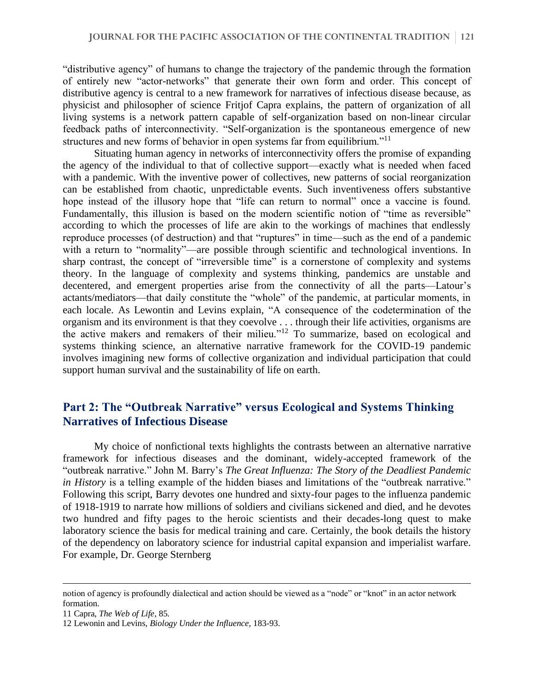"distributive agency" of humans to change the trajectory of the pandemic through the formation of entirely new "actor-networks" that generate their own form and order. This concept of distributive agency is central to a new framework for narratives of infectious disease because, as physicist and philosopher of science Fritjof Capra explains, the pattern of organization of all living systems is a network pattern capable of self-organization based on non-linear circular feedback paths of interconnectivity. "Self-organization is the spontaneous emergence of new structures and new forms of behavior in open systems far from equilibrium."<sup>11</sup>

Situating human agency in networks of interconnectivity offers the promise of expanding the agency of the individual to that of collective support—exactly what is needed when faced with a pandemic. With the inventive power of collectives, new patterns of social reorganization can be established from chaotic, unpredictable events. Such inventiveness offers substantive hope instead of the illusory hope that "life can return to normal" once a vaccine is found. Fundamentally, this illusion is based on the modern scientific notion of "time as reversible" according to which the processes of life are akin to the workings of machines that endlessly reproduce processes (of destruction) and that "ruptures" in time—such as the end of a pandemic with a return to "normality"—are possible through scientific and technological inventions. In sharp contrast, the concept of "irreversible time" is a cornerstone of complexity and systems theory. In the language of complexity and systems thinking, pandemics are unstable and decentered, and emergent properties arise from the connectivity of all the parts—Latour's actants/mediators—that daily constitute the "whole" of the pandemic, at particular moments, in each locale. As Lewontin and Levins explain, "A consequence of the codetermination of the organism and its environment is that they coevolve . . . through their life activities, organisms are the active makers and remakers of their milieu."<sup>12</sup> To summarize, based on ecological and systems thinking science, an alternative narrative framework for the COVID-19 pandemic involves imagining new forms of collective organization and individual participation that could support human survival and the sustainability of life on earth.

## **Part 2: The "Outbreak Narrative" versus Ecological and Systems Thinking Narratives of Infectious Disease**

My choice of nonfictional texts highlights the contrasts between an alternative narrative framework for infectious diseases and the dominant, widely-accepted framework of the "outbreak narrative." John M. Barry's *The Great Influenza: The Story of the Deadliest Pandemic in History* is a telling example of the hidden biases and limitations of the "outbreak narrative." Following this script, Barry devotes one hundred and sixty-four pages to the influenza pandemic of 1918-1919 to narrate how millions of soldiers and civilians sickened and died, and he devotes two hundred and fifty pages to the heroic scientists and their decades-long quest to make laboratory science the basis for medical training and care. Certainly, the book details the history of the dependency on laboratory science for industrial capital expansion and imperialist warfare. For example, Dr. George Sternberg

11 Capra, *The Web of Life*, 85.

notion of agency is profoundly dialectical and action should be viewed as a "node" or "knot" in an actor network formation.

<sup>12</sup> Lewonin and Levins, *Biology Under the Influence*, 183-93.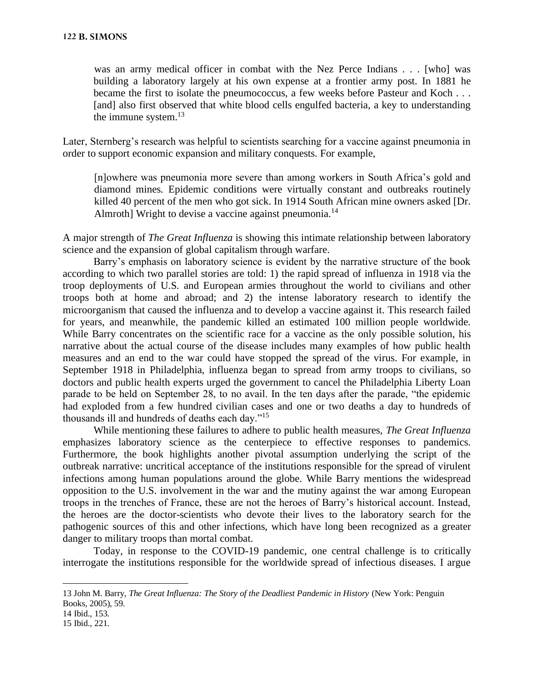was an army medical officer in combat with the Nez Perce Indians . . . [who] was building a laboratory largely at his own expense at a frontier army post. In 1881 he became the first to isolate the pneumococcus, a few weeks before Pasteur and Koch . . . [and] also first observed that white blood cells engulfed bacteria, a key to understanding the immune system. $^{13}$ 

Later, Sternberg's research was helpful to scientists searching for a vaccine against pneumonia in order to support economic expansion and military conquests. For example,

[n]owhere was pneumonia more severe than among workers in South Africa's gold and diamond mines. Epidemic conditions were virtually constant and outbreaks routinely killed 40 percent of the men who got sick. In 1914 South African mine owners asked [Dr. Almroth] Wright to devise a vaccine against pneumonia.<sup>14</sup>

A major strength of *The Great Influenza* is showing this intimate relationship between laboratory science and the expansion of global capitalism through warfare.

Barry's emphasis on laboratory science is evident by the narrative structure of the book according to which two parallel stories are told: 1) the rapid spread of influenza in 1918 via the troop deployments of U.S. and European armies throughout the world to civilians and other troops both at home and abroad; and 2) the intense laboratory research to identify the microorganism that caused the influenza and to develop a vaccine against it. This research failed for years, and meanwhile, the pandemic killed an estimated 100 million people worldwide. While Barry concentrates on the scientific race for a vaccine as the only possible solution, his narrative about the actual course of the disease includes many examples of how public health measures and an end to the war could have stopped the spread of the virus. For example, in September 1918 in Philadelphia, influenza began to spread from army troops to civilians, so doctors and public health experts urged the government to cancel the Philadelphia Liberty Loan parade to be held on September 28, to no avail. In the ten days after the parade, "the epidemic had exploded from a few hundred civilian cases and one or two deaths a day to hundreds of thousands ill and hundreds of deaths each day."<sup>15</sup>

While mentioning these failures to adhere to public health measures, *The Great Influenza* emphasizes laboratory science as the centerpiece to effective responses to pandemics. Furthermore, the book highlights another pivotal assumption underlying the script of the outbreak narrative: uncritical acceptance of the institutions responsible for the spread of virulent infections among human populations around the globe. While Barry mentions the widespread opposition to the U.S. involvement in the war and the mutiny against the war among European troops in the trenches of France, these are not the heroes of Barry's historical account. Instead, the heroes are the doctor-scientists who devote their lives to the laboratory search for the pathogenic sources of this and other infections, which have long been recognized as a greater danger to military troops than mortal combat.

Today, in response to the COVID-19 pandemic, one central challenge is to critically interrogate the institutions responsible for the worldwide spread of infectious diseases. I argue

<sup>13</sup> John M. Barry, *The Great Influenza: The Story of the Deadliest Pandemic in History* (New York: Penguin Books, 2005), 59.

<sup>14</sup> Ibid., 153.

<sup>15</sup> Ibid., 221.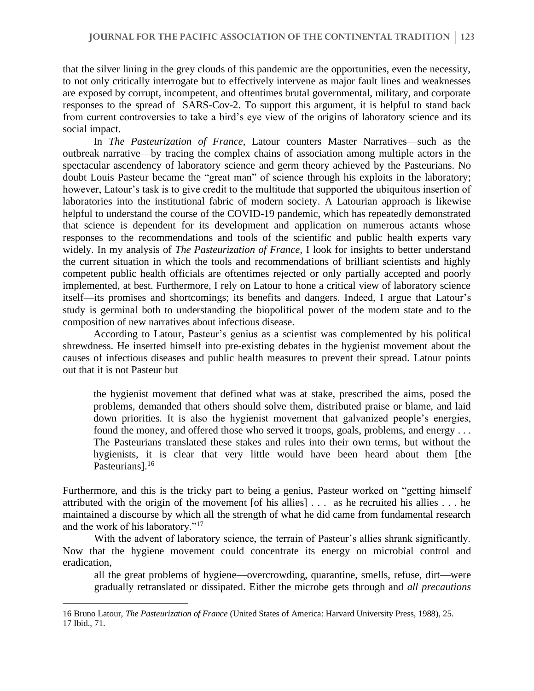that the silver lining in the grey clouds of this pandemic are the opportunities, even the necessity, to not only critically interrogate but to effectively intervene as major fault lines and weaknesses are exposed by corrupt, incompetent, and oftentimes brutal governmental, military, and corporate responses to the spread of SARS-Cov-2. To support this argument, it is helpful to stand back from current controversies to take a bird's eye view of the origins of laboratory science and its social impact.

In *The Pasteurization of France*, Latour counters Master Narratives—such as the outbreak narrative—by tracing the complex chains of association among multiple actors in the spectacular ascendency of laboratory science and germ theory achieved by the Pasteurians. No doubt Louis Pasteur became the "great man" of science through his exploits in the laboratory; however, Latour's task is to give credit to the multitude that supported the ubiquitous insertion of laboratories into the institutional fabric of modern society. A Latourian approach is likewise helpful to understand the course of the COVID-19 pandemic, which has repeatedly demonstrated that science is dependent for its development and application on numerous actants whose responses to the recommendations and tools of the scientific and public health experts vary widely. In my analysis of *The Pasteurization of France,* I look for insights to better understand the current situation in which the tools and recommendations of brilliant scientists and highly competent public health officials are oftentimes rejected or only partially accepted and poorly implemented, at best. Furthermore, I rely on Latour to hone a critical view of laboratory science itself—its promises and shortcomings; its benefits and dangers. Indeed, I argue that Latour's study is germinal both to understanding the biopolitical power of the modern state and to the composition of new narratives about infectious disease.

According to Latour, Pasteur's genius as a scientist was complemented by his political shrewdness. He inserted himself into pre-existing debates in the hygienist movement about the causes of infectious diseases and public health measures to prevent their spread. Latour points out that it is not Pasteur but

the hygienist movement that defined what was at stake, prescribed the aims, posed the problems, demanded that others should solve them, distributed praise or blame, and laid down priorities. It is also the hygienist movement that galvanized people's energies, found the money, and offered those who served it troops, goals, problems, and energy . . . The Pasteurians translated these stakes and rules into their own terms, but without the hygienists, it is clear that very little would have been heard about them [the Pasteurians].<sup>16</sup>

Furthermore, and this is the tricky part to being a genius, Pasteur worked on "getting himself attributed with the origin of the movement [of his allies] . . . as he recruited his allies . . . he maintained a discourse by which all the strength of what he did came from fundamental research and the work of his laboratory."<sup>17</sup>

With the advent of laboratory science, the terrain of Pasteur's allies shrank significantly. Now that the hygiene movement could concentrate its energy on microbial control and eradication,

all the great problems of hygiene—overcrowding, quarantine, smells, refuse, dirt—were gradually retranslated or dissipated. Either the microbe gets through and *all precautions* 

<sup>16</sup> Bruno Latour, *The Pasteurization of France* (United States of America: Harvard University Press, 1988), 25. 17 Ibid., 71.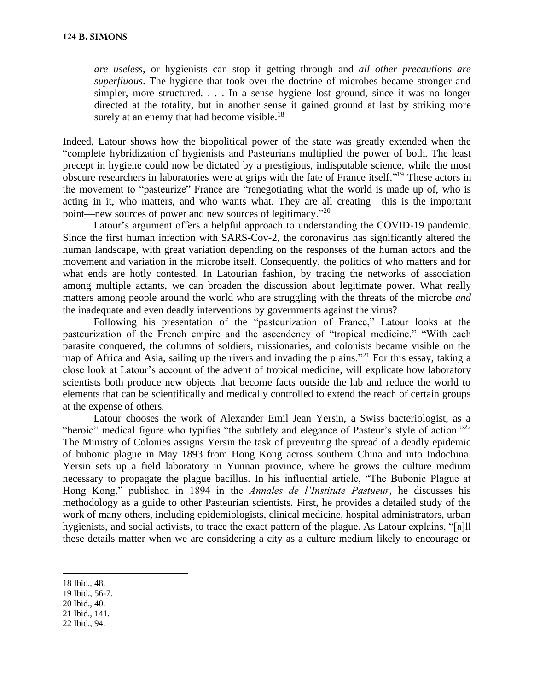*are useless*, or hygienists can stop it getting through and *all other precautions are superfluous*. The hygiene that took over the doctrine of microbes became stronger and simpler, more structured. . . . In a sense hygiene lost ground, since it was no longer directed at the totality, but in another sense it gained ground at last by striking more surely at an enemy that had become visible.<sup>18</sup>

Indeed, Latour shows how the biopolitical power of the state was greatly extended when the "complete hybridization of hygienists and Pasteurians multiplied the power of both. The least precept in hygiene could now be dictated by a prestigious, indisputable science, while the most obscure researchers in laboratories were at grips with the fate of France itself."<sup>19</sup> These actors in the movement to "pasteurize" France are "renegotiating what the world is made up of, who is acting in it, who matters, and who wants what. They are all creating—this is the important point—new sources of power and new sources of legitimacy."<sup>20</sup>

Latour's argument offers a helpful approach to understanding the COVID-19 pandemic. Since the first human infection with SARS-Cov-2, the coronavirus has significantly altered the human landscape, with great variation depending on the responses of the human actors and the movement and variation in the microbe itself. Consequently, the politics of who matters and for what ends are hotly contested. In Latourian fashion, by tracing the networks of association among multiple actants, we can broaden the discussion about legitimate power. What really matters among people around the world who are struggling with the threats of the microbe *and* the inadequate and even deadly interventions by governments against the virus?

Following his presentation of the "pasteurization of France," Latour looks at the pasteurization of the French empire and the ascendency of "tropical medicine." "With each parasite conquered, the columns of soldiers, missionaries, and colonists became visible on the map of Africa and Asia, sailing up the rivers and invading the plains."<sup>21</sup> For this essay, taking a close look at Latour's account of the advent of tropical medicine, will explicate how laboratory scientists both produce new objects that become facts outside the lab and reduce the world to elements that can be scientifically and medically controlled to extend the reach of certain groups at the expense of others.

Latour chooses the work of Alexander Emil Jean Yersin, a Swiss bacteriologist, as a "heroic" medical figure who typifies "the subtlety and elegance of Pasteur's style of action."<sup>22</sup> The Ministry of Colonies assigns Yersin the task of preventing the spread of a deadly epidemic of bubonic plague in May 1893 from Hong Kong across southern China and into Indochina. Yersin sets up a field laboratory in Yunnan province, where he grows the culture medium necessary to propagate the plague bacillus. In his influential article, "The Bubonic Plague at Hong Kong," published in 1894 in the *Annales de l'Institute Pastueur*, he discusses his methodology as a guide to other Pasteurian scientists. First, he provides a detailed study of the work of many others, including epidemiologists, clinical medicine, hospital administrators, urban hygienists, and social activists, to trace the exact pattern of the plague. As Latour explains, "[a]ll these details matter when we are considering a city as a culture medium likely to encourage or

- 19 Ibid., 56-7.
- 20 Ibid., 40.
- 21 Ibid., 141.
- 22 Ibid., 94.

<sup>18</sup> Ibid., 48.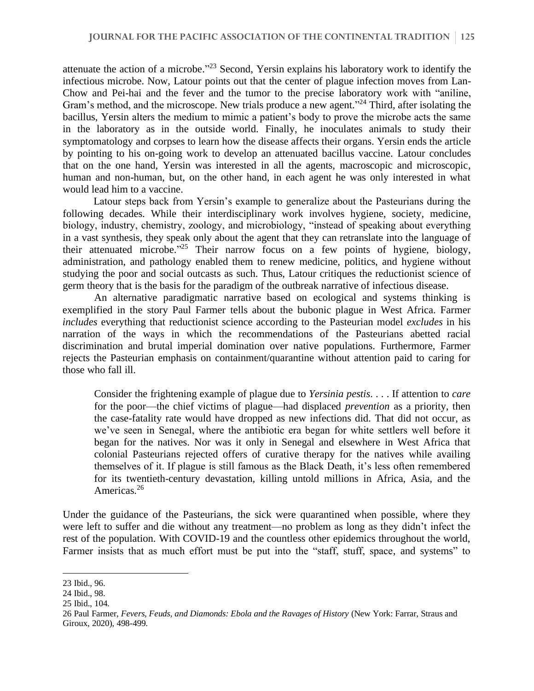attenuate the action of a microbe.<sup>"23</sup> Second, Yersin explains his laboratory work to identify the infectious microbe. Now, Latour points out that the center of plague infection moves from Lan-Chow and Pei-hai and the fever and the tumor to the precise laboratory work with "aniline, Gram's method, and the microscope. New trials produce a new agent."<sup>24</sup> Third, after isolating the bacillus, Yersin alters the medium to mimic a patient's body to prove the microbe acts the same in the laboratory as in the outside world. Finally, he inoculates animals to study their symptomatology and corpses to learn how the disease affects their organs. Yersin ends the article by pointing to his on-going work to develop an attenuated bacillus vaccine. Latour concludes that on the one hand, Yersin was interested in all the agents, macroscopic and microscopic, human and non-human, but, on the other hand, in each agent he was only interested in what would lead him to a vaccine.

Latour steps back from Yersin's example to generalize about the Pasteurians during the following decades. While their interdisciplinary work involves hygiene, society, medicine, biology, industry, chemistry, zoology, and microbiology, "instead of speaking about everything in a vast synthesis, they speak only about the agent that they can retranslate into the language of their attenuated microbe.<sup>225</sup> Their narrow focus on a few points of hygiene, biology, administration, and pathology enabled them to renew medicine, politics, and hygiene without studying the poor and social outcasts as such. Thus, Latour critiques the reductionist science of germ theory that is the basis for the paradigm of the outbreak narrative of infectious disease.

An alternative paradigmatic narrative based on ecological and systems thinking is exemplified in the story Paul Farmer tells about the bubonic plague in West Africa. Farmer *includes* everything that reductionist science according to the Pasteurian model *excludes* in his narration of the ways in which the recommendations of the Pasteurians abetted racial discrimination and brutal imperial domination over native populations. Furthermore, Farmer rejects the Pasteurian emphasis on containment/quarantine without attention paid to caring for those who fall ill.

Consider the frightening example of plague due to *Yersinia pestis*. . . . If attention to *care*  for the poor—the chief victims of plague—had displaced *prevention* as a priority, then the case-fatality rate would have dropped as new infections did. That did not occur, as we've seen in Senegal, where the antibiotic era began for white settlers well before it began for the natives. Nor was it only in Senegal and elsewhere in West Africa that colonial Pasteurians rejected offers of curative therapy for the natives while availing themselves of it. If plague is still famous as the Black Death, it's less often remembered for its twentieth-century devastation, killing untold millions in Africa, Asia, and the Americas.<sup>26</sup>

Under the guidance of the Pasteurians, the sick were quarantined when possible, where they were left to suffer and die without any treatment—no problem as long as they didn't infect the rest of the population. With COVID-19 and the countless other epidemics throughout the world, Farmer insists that as much effort must be put into the "staff, stuff, space, and systems" to

<sup>23</sup> Ibid., 96.

<sup>24</sup> Ibid., 98.

<sup>25</sup> Ibid., 104.

<sup>26</sup> Paul Farmer, *Fevers, Feuds, and Diamonds: Ebola and the Ravages of History* (New York: Farrar, Straus and Giroux, 2020), 498-499.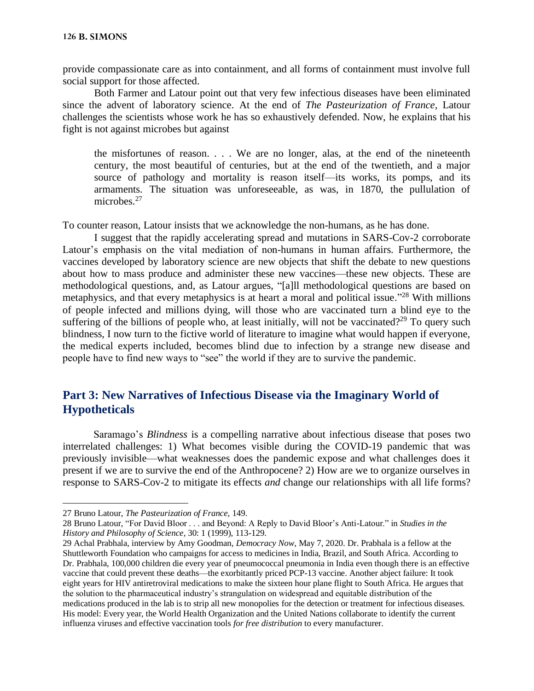provide compassionate care as into containment, and all forms of containment must involve full social support for those affected.

Both Farmer and Latour point out that very few infectious diseases have been eliminated since the advent of laboratory science. At the end of *The Pasteurization of France*, Latour challenges the scientists whose work he has so exhaustively defended. Now, he explains that his fight is not against microbes but against

the misfortunes of reason. . . . We are no longer, alas, at the end of the nineteenth century, the most beautiful of centuries, but at the end of the twentieth, and a major source of pathology and mortality is reason itself—its works, its pomps, and its armaments. The situation was unforeseeable, as was, in 1870, the pullulation of microbes.<sup>27</sup>

To counter reason, Latour insists that we acknowledge the non-humans, as he has done.

I suggest that the rapidly accelerating spread and mutations in SARS-Cov-2 corroborate Latour's emphasis on the vital mediation of non-humans in human affairs. Furthermore, the vaccines developed by laboratory science are new objects that shift the debate to new questions about how to mass produce and administer these new vaccines—these new objects. These are methodological questions, and, as Latour argues, "[a]ll methodological questions are based on metaphysics, and that every metaphysics is at heart a moral and political issue."<sup>28</sup> With millions of people infected and millions dying, will those who are vaccinated turn a blind eye to the suffering of the billions of people who, at least initially, will not be vaccinated?<sup>29</sup> To query such blindness, I now turn to the fictive world of literature to imagine what would happen if everyone, the medical experts included, becomes blind due to infection by a strange new disease and people have to find new ways to "see" the world if they are to survive the pandemic.

#### **Part 3: New Narratives of Infectious Disease via the Imaginary World of Hypotheticals**

Saramago's *Blindness* is a compelling narrative about infectious disease that poses two interrelated challenges: 1) What becomes visible during the COVID-19 pandemic that was previously invisible—what weaknesses does the pandemic expose and what challenges does it present if we are to survive the end of the Anthropocene? 2) How are we to organize ourselves in response to SARS-Cov-2 to mitigate its effects *and* change our relationships with all life forms?

<sup>27</sup> Bruno Latour, *The Pasteurization of France*, 149.

<sup>28</sup> Bruno Latour, "For David Bloor . . . and Beyond: A Reply to David Bloor's Anti-Latour." in *Studies in the History and Philosophy of Science*, 30: 1 (1999), 113-129.

<sup>29</sup> Achal Prabhala, interview by Amy Goodman, *Democracy Now*, May 7, 2020. Dr. Prabhala is a fellow at the Shuttleworth Foundation who campaigns for access to medicines in India, Brazil, and South Africa. According to Dr. Prabhala, 100,000 children die every year of pneumococcal pneumonia in India even though there is an effective vaccine that could prevent these deaths—the exorbitantly priced PCP-13 vaccine. Another abject failure: It took eight years for HIV antiretroviral medications to make the sixteen hour plane flight to South Africa. He argues that the solution to the pharmaceutical industry's strangulation on widespread and equitable distribution of the medications produced in the lab is to strip all new monopolies for the detection or treatment for infectious diseases. His model: Every year, the World Health Organization and the United Nations collaborate to identify the current influenza viruses and effective vaccination tools *for free distribution* to every manufacturer.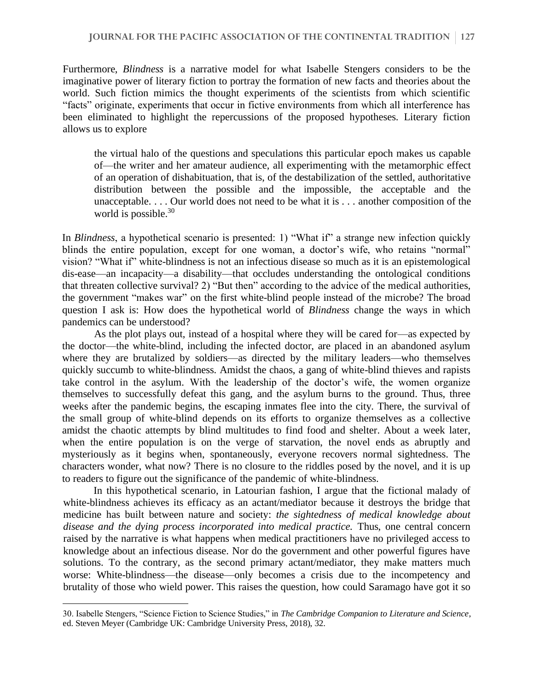Furthermore, *Blindness* is a narrative model for what Isabelle Stengers considers to be the imaginative power of literary fiction to portray the formation of new facts and theories about the world. Such fiction mimics the thought experiments of the scientists from which scientific "facts" originate, experiments that occur in fictive environments from which all interference has been eliminated to highlight the repercussions of the proposed hypotheses. Literary fiction allows us to explore

the virtual halo of the questions and speculations this particular epoch makes us capable of—the writer and her amateur audience, all experimenting with the metamorphic effect of an operation of dishabituation, that is, of the destabilization of the settled, authoritative distribution between the possible and the impossible, the acceptable and the unacceptable. . . . Our world does not need to be what it is . . . another composition of the world is possible.<sup>30</sup>

In *Blindness*, a hypothetical scenario is presented: 1) "What if" a strange new infection quickly blinds the entire population, except for one woman, a doctor's wife, who retains "normal" vision? "What if" white-blindness is not an infectious disease so much as it is an epistemological dis-ease—an incapacity—a disability—that occludes understanding the ontological conditions that threaten collective survival? 2) "But then" according to the advice of the medical authorities, the government "makes war" on the first white-blind people instead of the microbe? The broad question I ask is: How does the hypothetical world of *Blindness* change the ways in which pandemics can be understood?

As the plot plays out, instead of a hospital where they will be cared for—as expected by the doctor—the white-blind, including the infected doctor, are placed in an abandoned asylum where they are brutalized by soldiers—as directed by the military leaders—who themselves quickly succumb to white-blindness. Amidst the chaos, a gang of white-blind thieves and rapists take control in the asylum. With the leadership of the doctor's wife, the women organize themselves to successfully defeat this gang, and the asylum burns to the ground. Thus, three weeks after the pandemic begins, the escaping inmates flee into the city. There, the survival of the small group of white-blind depends on its efforts to organize themselves as a collective amidst the chaotic attempts by blind multitudes to find food and shelter. About a week later, when the entire population is on the verge of starvation, the novel ends as abruptly and mysteriously as it begins when, spontaneously, everyone recovers normal sightedness. The characters wonder, what now? There is no closure to the riddles posed by the novel, and it is up to readers to figure out the significance of the pandemic of white-blindness.

In this hypothetical scenario, in Latourian fashion, I argue that the fictional malady of white-blindness achieves its efficacy as an actant/mediator because it destroys the bridge that medicine has built between nature and society: *the sightedness of medical knowledge about disease and the dying process incorporated into medical practice.* Thus, one central concern raised by the narrative is what happens when medical practitioners have no privileged access to knowledge about an infectious disease. Nor do the government and other powerful figures have solutions. To the contrary, as the second primary actant/mediator, they make matters much worse: White-blindness—the disease—only becomes a crisis due to the incompetency and brutality of those who wield power. This raises the question, how could Saramago have got it so

<sup>30.</sup> Isabelle Stengers, "Science Fiction to Science Studies," in *The Cambridge Companion to Literature and Science*, ed. Steven Meyer (Cambridge UK: Cambridge University Press, 2018), 32.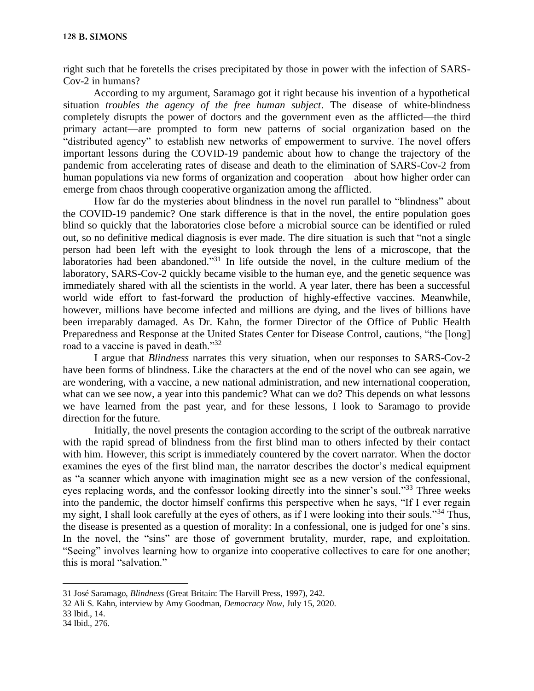right such that he foretells the crises precipitated by those in power with the infection of SARS-Cov-2 in humans?

According to my argument, Saramago got it right because his invention of a hypothetical situation *troubles the agency of the free human subject*. The disease of white-blindness completely disrupts the power of doctors and the government even as the afflicted—the third primary actant—are prompted to form new patterns of social organization based on the "distributed agency" to establish new networks of empowerment to survive. The novel offers important lessons during the COVID-19 pandemic about how to change the trajectory of the pandemic from accelerating rates of disease and death to the elimination of SARS-Cov-2 from human populations via new forms of organization and cooperation—about how higher order can emerge from chaos through cooperative organization among the afflicted.

How far do the mysteries about blindness in the novel run parallel to "blindness" about the COVID-19 pandemic? One stark difference is that in the novel, the entire population goes blind so quickly that the laboratories close before a microbial source can be identified or ruled out, so no definitive medical diagnosis is ever made. The dire situation is such that "not a single person had been left with the eyesight to look through the lens of a microscope, that the laboratories had been abandoned."<sup>31</sup> In life outside the novel, in the culture medium of the laboratory, SARS-Cov-2 quickly became visible to the human eye, and the genetic sequence was immediately shared with all the scientists in the world. A year later, there has been a successful world wide effort to fast-forward the production of highly-effective vaccines. Meanwhile, however, millions have become infected and millions are dying, and the lives of billions have been irreparably damaged. As Dr. Kahn, the former Director of the Office of Public Health Preparedness and Response at the United States Center for Disease Control, cautions, "the [long] road to a vaccine is paved in death."<sup>32</sup>

I argue that *Blindness* narrates this very situation, when our responses to SARS-Cov-2 have been forms of blindness. Like the characters at the end of the novel who can see again, we are wondering, with a vaccine, a new national administration, and new international cooperation, what can we see now, a year into this pandemic? What can we do? This depends on what lessons we have learned from the past year, and for these lessons, I look to Saramago to provide direction for the future.

Initially, the novel presents the contagion according to the script of the outbreak narrative with the rapid spread of blindness from the first blind man to others infected by their contact with him. However, this script is immediately countered by the covert narrator. When the doctor examines the eyes of the first blind man, the narrator describes the doctor's medical equipment as "a scanner which anyone with imagination might see as a new version of the confessional, eyes replacing words, and the confessor looking directly into the sinner's soul."<sup>33</sup> Three weeks into the pandemic, the doctor himself confirms this perspective when he says, "If I ever regain my sight, I shall look carefully at the eyes of others, as if I were looking into their souls."<sup>34</sup> Thus, the disease is presented as a question of morality: In a confessional, one is judged for one's sins. In the novel, the "sins" are those of government brutality, murder, rape, and exploitation. "Seeing" involves learning how to organize into cooperative collectives to care for one another; this is moral "salvation."

- 33 Ibid., 14.
- 34 Ibid., 276.

<sup>31</sup> José Saramago, *Blindness* (Great Britain: The Harvill Press, 1997), 242.

<sup>32</sup> Ali S. Kahn, interview by Amy Goodman, *Democracy Now*, July 15, 2020.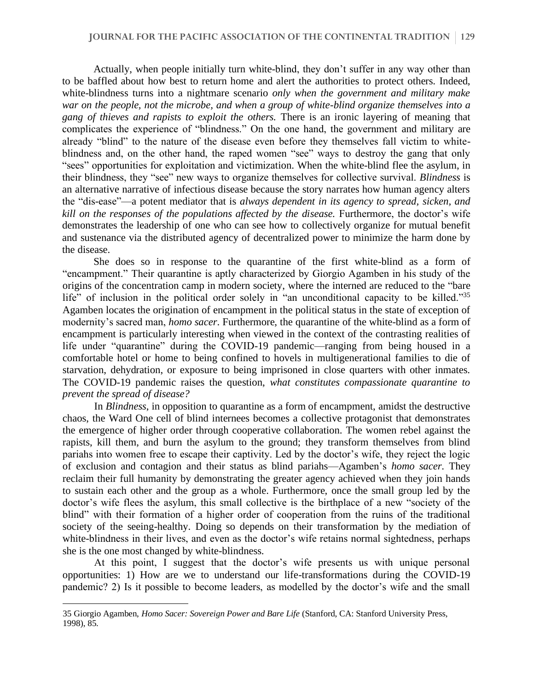Actually, when people initially turn white-blind, they don't suffer in any way other than to be baffled about how best to return home and alert the authorities to protect others. Indeed, white-blindness turns into a nightmare scenario *only when the government and military make war on the people, not the microbe, and when a group of white-blind organize themselves into a gang of thieves and rapists to exploit the others.* There is an ironic layering of meaning that complicates the experience of "blindness." On the one hand, the government and military are already "blind" to the nature of the disease even before they themselves fall victim to whiteblindness and, on the other hand, the raped women "see" ways to destroy the gang that only "sees" opportunities for exploitation and victimization. When the white-blind flee the asylum, in their blindness, they "see" new ways to organize themselves for collective survival. *Blindness* is an alternative narrative of infectious disease because the story narrates how human agency alters the "dis-ease"—a potent mediator that is *always dependent in its agency to spread, sicken, and kill on the responses of the populations affected by the disease.* Furthermore, the doctor's wife demonstrates the leadership of one who can see how to collectively organize for mutual benefit and sustenance via the distributed agency of decentralized power to minimize the harm done by the disease.

She does so in response to the quarantine of the first white-blind as a form of "encampment." Their quarantine is aptly characterized by Giorgio Agamben in his study of the origins of the concentration camp in modern society, where the interned are reduced to the "bare life" of inclusion in the political order solely in "an unconditional capacity to be killed."<sup>35</sup> Agamben locates the origination of encampment in the political status in the state of exception of modernity's sacred man, *homo sacer*. Furthermore, the quarantine of the white-blind as a form of encampment is particularly interesting when viewed in the context of the contrasting realities of life under "quarantine" during the COVID-19 pandemic—ranging from being housed in a comfortable hotel or home to being confined to hovels in multigenerational families to die of starvation, dehydration, or exposure to being imprisoned in close quarters with other inmates. The COVID-19 pandemic raises the question, *what constitutes compassionate quarantine to prevent the spread of disease?* 

In *Blindness*, in opposition to quarantine as a form of encampment, amidst the destructive chaos, the Ward One cell of blind internees becomes a collective protagonist that demonstrates the emergence of higher order through cooperative collaboration. The women rebel against the rapists, kill them, and burn the asylum to the ground; they transform themselves from blind pariahs into women free to escape their captivity. Led by the doctor's wife, they reject the logic of exclusion and contagion and their status as blind pariahs—Agamben's *homo sacer*. They reclaim their full humanity by demonstrating the greater agency achieved when they join hands to sustain each other and the group as a whole. Furthermore, once the small group led by the doctor's wife flees the asylum, this small collective is the birthplace of a new "society of the blind" with their formation of a higher order of cooperation from the ruins of the traditional society of the seeing-healthy. Doing so depends on their transformation by the mediation of white-blindness in their lives, and even as the doctor's wife retains normal sightedness, perhaps she is the one most changed by white-blindness.

At this point, I suggest that the doctor's wife presents us with unique personal opportunities: 1) How are we to understand our life-transformations during the COVID-19 pandemic? 2) Is it possible to become leaders, as modelled by the doctor's wife and the small

<sup>35</sup> Giorgio Agamben, *Homo Sacer: Sovereign Power and Bare Life* (Stanford, CA: Stanford University Press, 1998), 85.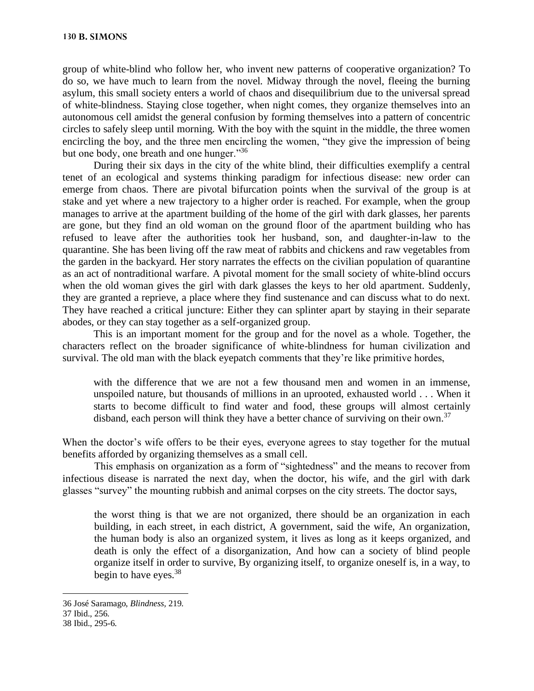group of white-blind who follow her, who invent new patterns of cooperative organization? To do so, we have much to learn from the novel. Midway through the novel, fleeing the burning asylum, this small society enters a world of chaos and disequilibrium due to the universal spread of white-blindness. Staying close together, when night comes, they organize themselves into an autonomous cell amidst the general confusion by forming themselves into a pattern of concentric circles to safely sleep until morning. With the boy with the squint in the middle, the three women encircling the boy, and the three men encircling the women, "they give the impression of being but one body, one breath and one hunger."<sup>36</sup>

During their six days in the city of the white blind, their difficulties exemplify a central tenet of an ecological and systems thinking paradigm for infectious disease: new order can emerge from chaos. There are pivotal bifurcation points when the survival of the group is at stake and yet where a new trajectory to a higher order is reached. For example, when the group manages to arrive at the apartment building of the home of the girl with dark glasses, her parents are gone, but they find an old woman on the ground floor of the apartment building who has refused to leave after the authorities took her husband, son, and daughter-in-law to the quarantine. She has been living off the raw meat of rabbits and chickens and raw vegetables from the garden in the backyard. Her story narrates the effects on the civilian population of quarantine as an act of nontraditional warfare. A pivotal moment for the small society of white-blind occurs when the old woman gives the girl with dark glasses the keys to her old apartment. Suddenly, they are granted a reprieve, a place where they find sustenance and can discuss what to do next. They have reached a critical juncture: Either they can splinter apart by staying in their separate abodes, or they can stay together as a self-organized group.

This is an important moment for the group and for the novel as a whole. Together, the characters reflect on the broader significance of white-blindness for human civilization and survival. The old man with the black eyepatch comments that they're like primitive hordes,

with the difference that we are not a few thousand men and women in an immense, unspoiled nature, but thousands of millions in an uprooted, exhausted world . . . When it starts to become difficult to find water and food, these groups will almost certainly disband, each person will think they have a better chance of surviving on their own.<sup>37</sup>

When the doctor's wife offers to be their eyes, everyone agrees to stay together for the mutual benefits afforded by organizing themselves as a small cell.

This emphasis on organization as a form of "sightedness" and the means to recover from infectious disease is narrated the next day, when the doctor, his wife, and the girl with dark glasses "survey" the mounting rubbish and animal corpses on the city streets. The doctor says,

the worst thing is that we are not organized, there should be an organization in each building, in each street, in each district, A government, said the wife, An organization, the human body is also an organized system, it lives as long as it keeps organized, and death is only the effect of a disorganization, And how can a society of blind people organize itself in order to survive, By organizing itself, to organize oneself is, in a way, to begin to have eyes. $38$ 

<sup>36</sup> José Saramago, *Blindness,* 219.

<sup>37</sup> Ibid., 256.

<sup>38</sup> Ibid., 295-6.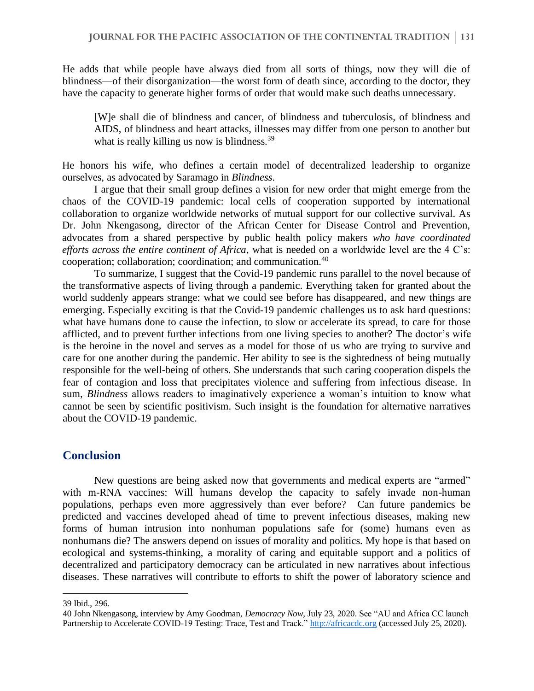He adds that while people have always died from all sorts of things, now they will die of blindness—of their disorganization—the worst form of death since, according to the doctor, they have the capacity to generate higher forms of order that would make such deaths unnecessary.

[W]e shall die of blindness and cancer, of blindness and tuberculosis, of blindness and AIDS, of blindness and heart attacks, illnesses may differ from one person to another but what is really killing us now is blindness.<sup>39</sup>

He honors his wife, who defines a certain model of decentralized leadership to organize ourselves, as advocated by Saramago in *Blindness*.

I argue that their small group defines a vision for new order that might emerge from the chaos of the COVID-19 pandemic: local cells of cooperation supported by international collaboration to organize worldwide networks of mutual support for our collective survival. As Dr. John Nkengasong, director of the African Center for Disease Control and Prevention, advocates from a shared perspective by public health policy makers *who have coordinated efforts across the entire continent of Africa*, what is needed on a worldwide level are the 4 C's: cooperation; collaboration; coordination; and communication. $40$ 

To summarize, I suggest that the Covid-19 pandemic runs parallel to the novel because of the transformative aspects of living through a pandemic. Everything taken for granted about the world suddenly appears strange: what we could see before has disappeared, and new things are emerging. Especially exciting is that the Covid-19 pandemic challenges us to ask hard questions: what have humans done to cause the infection, to slow or accelerate its spread, to care for those afflicted, and to prevent further infections from one living species to another? The doctor's wife is the heroine in the novel and serves as a model for those of us who are trying to survive and care for one another during the pandemic. Her ability to see is the sightedness of being mutually responsible for the well-being of others. She understands that such caring cooperation dispels the fear of contagion and loss that precipitates violence and suffering from infectious disease. In sum, *Blindness* allows readers to imaginatively experience a woman's intuition to know what cannot be seen by scientific positivism. Such insight is the foundation for alternative narratives about the COVID-19 pandemic.

#### **Conclusion**

New questions are being asked now that governments and medical experts are "armed" with m-RNA vaccines: Will humans develop the capacity to safely invade non-human populations, perhaps even more aggressively than ever before? Can future pandemics be predicted and vaccines developed ahead of time to prevent infectious diseases, making new forms of human intrusion into nonhuman populations safe for (some) humans even as nonhumans die? The answers depend on issues of morality and politics. My hope is that based on ecological and systems-thinking, a morality of caring and equitable support and a politics of decentralized and participatory democracy can be articulated in new narratives about infectious diseases. These narratives will contribute to efforts to shift the power of laboratory science and

<sup>39</sup> Ibid., 296.

<sup>40</sup> John Nkengasong, interview by Amy Goodman, *Democracy Now*, July 23, 2020. See "AU and Africa CC launch Partnership to Accelerate COVID-19 Testing: Trace, Test and Track." [http://africacdc.org](about:blank) (accessed July 25, 2020).